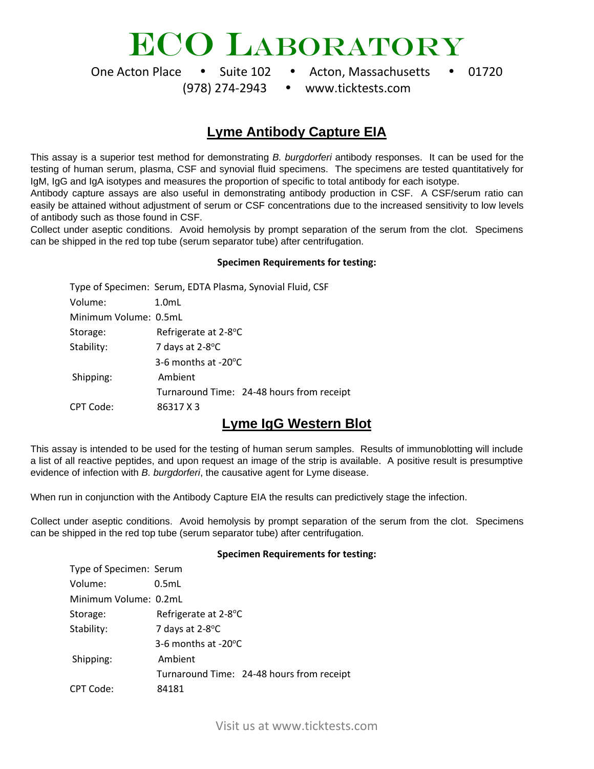# ECO LABORATORY

One Acton Place • Suite 102 • Acton, Massachusetts • 01720

[\(978\) 274-2943](tel:9782742943) www.ticktests.com

### **Lyme Antibody Capture EIA**

This assay is a superior test method for demonstrating *B. burgdorferi* antibody responses. It can be used for the testing of human serum, plasma, CSF and synovial fluid specimens. The specimens are tested quantitatively for IgM, IgG and IgA isotypes and measures the proportion of specific to total antibody for each isotype.

Antibody capture assays are also useful in demonstrating antibody production in CSF. A CSF/serum ratio can easily be attained without adjustment of serum or CSF concentrations due to the increased sensitivity to low levels of antibody such as those found in CSF.

Collect under aseptic conditions. Avoid hemolysis by prompt separation of the serum from the clot. Specimens can be shipped in the red top tube (serum separator tube) after centrifugation.

#### **Specimen Requirements for testing:**

|                       | Type of Specimen: Serum, EDTA Plasma, Synovial Fluid, CSF |
|-----------------------|-----------------------------------------------------------|
| Volume:               | $1.0m$ L                                                  |
| Minimum Volume: 0.5mL |                                                           |
| Storage:              | Refrigerate at 2-8°C                                      |
| Stability:            | 7 days at 2-8°C                                           |
|                       | 3-6 months at $-20^{\circ}$ C                             |
| Shipping:             | Ambient                                                   |
|                       | Turnaround Time: 24-48 hours from receipt                 |
| CPT Code:             | 86317 X 3                                                 |

### **Lyme IgG Western Blot**

This assay is intended to be used for the testing of human serum samples. Results of immunoblotting will include a list of all reactive peptides, and upon request an image of the strip is available. A positive result is presumptive evidence of infection with *B. burgdorferi*, the causative agent for Lyme disease.

When run in conjunction with the Antibody Capture EIA the results can predictively stage the infection.

Collect under aseptic conditions. Avoid hemolysis by prompt separation of the serum from the clot. Specimens can be shipped in the red top tube (serum separator tube) after centrifugation.

#### **Specimen Requirements for testing:**

| Type of Specimen: Serum |                                           |
|-------------------------|-------------------------------------------|
| Volume:                 | 0.5mL                                     |
| Minimum Volume: 0.2mL   |                                           |
| Storage:                | Refrigerate at 2-8°C                      |
| Stability:              | 7 days at 2-8°C                           |
|                         | 3-6 months at $-20^{\circ}$ C             |
| Shipping:               | Ambient                                   |
|                         | Turnaround Time: 24-48 hours from receipt |
| CPT Code:               | 84181                                     |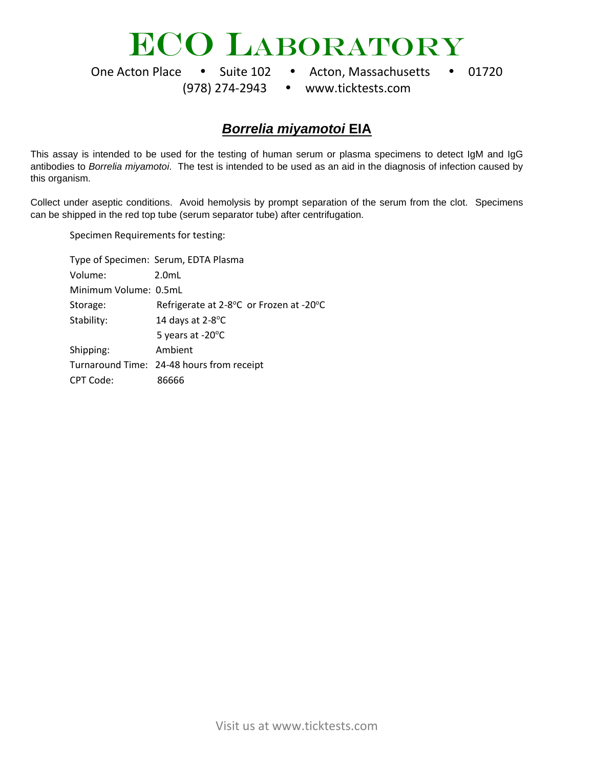# ECO LABORATORY

One Acton Place • Suite 102 • Acton, Massachusetts • 01720

[\(978\) 274-2943](tel:9782742943) www.ticktests.com

### *Borrelia miyamotoi* **EIA**

This assay is intended to be used for the testing of human serum or plasma specimens to detect IgM and IgG antibodies to *Borrelia miyamotoi*. The test is intended to be used as an aid in the diagnosis of infection caused by this organism.

Collect under aseptic conditions. Avoid hemolysis by prompt separation of the serum from the clot. Specimens can be shipped in the red top tube (serum separator tube) after centrifugation.

Specimen Requirements for testing:

|                       | Type of Specimen: Serum, EDTA Plasma      |
|-----------------------|-------------------------------------------|
| Volume:               | $2.0m$ L                                  |
| Minimum Volume: 0.5mL |                                           |
| Storage:              | Refrigerate at 2-8°C or Frozen at -20°C   |
| Stability:            | 14 days at 2-8°C                          |
|                       | 5 years at -20°C                          |
| Shipping:             | Ambient                                   |
|                       | Turnaround Time: 24-48 hours from receipt |
| CPT Code:             | 86666                                     |